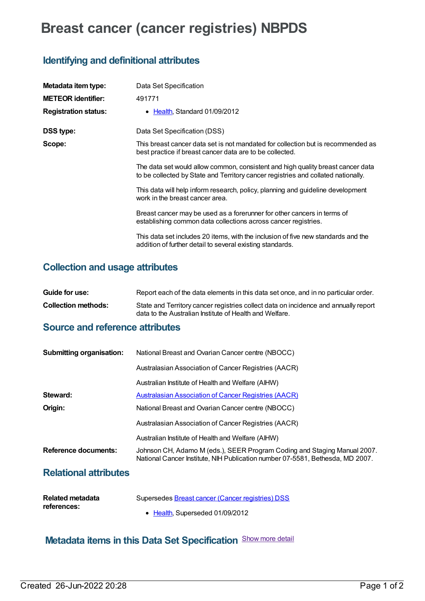# **Breast cancer (cancer registries) NBPDS**

# **Identifying and definitional attributes**

| Metadata item type:         | Data Set Specification                                                                                                                                               |
|-----------------------------|----------------------------------------------------------------------------------------------------------------------------------------------------------------------|
| <b>METEOR identifier:</b>   | 491771                                                                                                                                                               |
| <b>Registration status:</b> | • Health, Standard 01/09/2012                                                                                                                                        |
| DSS type:                   | Data Set Specification (DSS)                                                                                                                                         |
| Scope:                      | This breast cancer data set is not mandated for collection but is recommended as<br>best practice if breast cancer data are to be collected.                         |
|                             | The data set would allow common, consistent and high quality breast cancer data<br>to be collected by State and Territory cancer registries and collated nationally. |
|                             | This data will help inform research, policy, planning and guideline development<br>work in the breast cancer area.                                                   |
|                             | Breast cancer may be used as a forerunner for other cancers in terms of<br>establishing common data collections across cancer registries.                            |
|                             | This data set includes 20 items, with the inclusion of five new standards and the<br>addition of further detail to several existing standards.                       |

### **Collection and usage attributes**

| Guide for use:      | Report each of the data elements in this data set once, and in no particular order.                                                            |
|---------------------|------------------------------------------------------------------------------------------------------------------------------------------------|
| Collection methods: | State and Territory cancer registries collect data on incidence and annually report<br>data to the Australian Institute of Health and Welfare. |

#### **Source and reference attributes**

| <b>Submitting organisation:</b> | National Breast and Ovarian Cancer centre (NBOCC)                                                                                                         |
|---------------------------------|-----------------------------------------------------------------------------------------------------------------------------------------------------------|
|                                 | Australasian Association of Cancer Registries (AACR)                                                                                                      |
|                                 | Australian Institute of Health and Welfare (AIHW)                                                                                                         |
| Steward:                        | <b>Australasian Association of Cancer Registries (AACR)</b>                                                                                               |
| Origin:                         | National Breast and Ovarian Cancer centre (NBOCC)                                                                                                         |
|                                 | Australasian Association of Cancer Registries (AACR)                                                                                                      |
|                                 | Australian Institute of Health and Welfare (AIHW)                                                                                                         |
| Reference documents:            | Johnson CH, Adamo M (eds.), SEER Program Coding and Staging Manual 2007.<br>National Cancer Institute, NIH Publication number 07-5581, Bethesda, MD 2007. |
| <b>Relational attributes</b>    |                                                                                                                                                           |

| Related metadata | Supersedes Breast cancer (Cancer registries) DSS |
|------------------|--------------------------------------------------|
| references:      |                                                  |
|                  | • Health, Superseded 01/09/2012                  |

# **Metadata items in this Data Set Specification** Show more detail